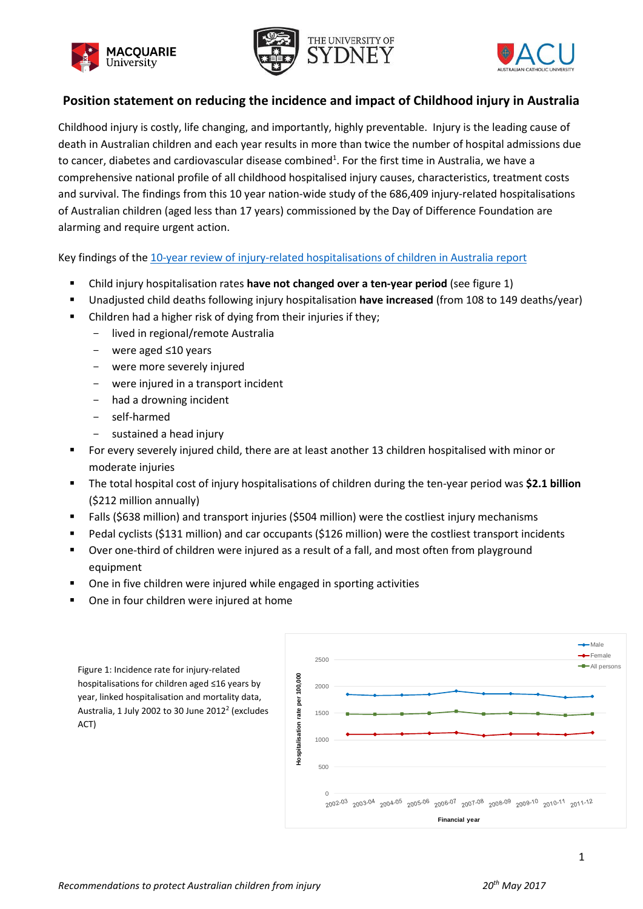





# **Position statement on reducing the incidence and impact of Childhood injury in Australia**

Childhood injury is costly, life changing, and importantly, highly preventable. Injury is the leading cause of death in Australian children and each year results in more than twice the number of hospital admissions due to cancer, diabetes and cardiovascular disease combined<sup>1</sup>. For the first time in Australia, we have a comprehensive national profile of all childhood hospitalised injury causes, characteristics, treatment costs and survival. The findings from this 10 year nation-wide study of the 686,409 injury-related hospitalisations of Australian children (aged less than 17 years) commissioned by the Day of Difference Foundation are alarming and require urgent action.

Key findings of the 10-year review of [injury-related hospitalisations of children in Australia](http://www.paediatricinjuryoutcomes.org.au/) report

- Child injury hospitalisation rates **have not changed over a ten-year period** (see figure 1)
- Unadjusted child deaths following injury hospitalisation **have increased** (from 108 to 149 deaths/year)
- Children had a higher risk of dying from their injuries if they;
	- lived in regional/remote Australia
	- were aged ≤10 years
	- were more severely injured
	- were injured in a transport incident
	- had a drowning incident
	- self-harmed
	- sustained a head injury
- For every severely injured child, there are at least another 13 children hospitalised with minor or moderate injuries
- The total hospital cost of injury hospitalisations of children during the ten-year period was **\$2.1 billion** (\$212 million annually)
- Falls (\$638 million) and transport injuries (\$504 million) were the costliest injury mechanisms
- Pedal cyclists (\$131 million) and car occupants (\$126 million) were the costliest transport incidents
- Over one-third of children were injured as a result of a fall, and most often from playground equipment
- One in five children were injured while engaged in sporting activities
- One in four children were injured at home



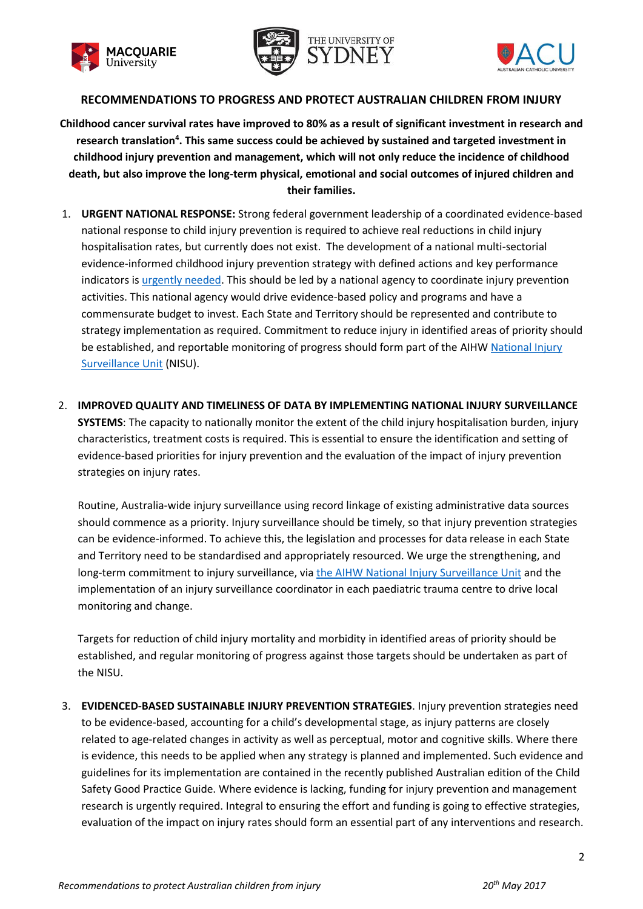





### **RECOMMENDATIONS TO PROGRESS AND PROTECT AUSTRALIAN CHILDREN FROM INJURY**

**Childhood cancer survival rates have improved to 80% as a result of significant investment in research and research translation<sup>4</sup> . This same success could be achieved by sustained and targeted investment in childhood injury prevention and management, which will not only reduce the incidence of childhood death, but also improve the long-term physical, emotional and social outcomes of injured children and their families.**

- 1. **URGENT NATIONAL RESPONSE:** Strong federal government leadership of a coordinated evidence-based national response to child injury prevention is required to achieve real reductions in child injury hospitalisation rates, but currently does not exist. The development of a national multi-sectorial evidence-informed childhood injury prevention strategy with defined actions and key performance indicators i[s urgently needed.](http://aipn.com.au/27-health-community-leaders-sign-open-letter-political-representatives-encouraging-focus-injury-prevention/) This should be led by a national agency to coordinate injury prevention activities. This national agency would drive evidence-based policy and programs and have a commensurate budget to invest. Each State and Territory should be represented and contribute to strategy implementation as required. Commitment to reduce injury in identified areas of priority should be established, and reportable monitoring of progress should form part of the AIHW National Injury [Surveillance Unit](http://www.flinders.edu.au/medicine/research/centres/injury-studies/) (NISU).
- 2. **IMPROVED QUALITY AND TIMELINESS OF DATA BY IMPLEMENTING NATIONAL INJURY SURVEILLANCE SYSTEMS**: The capacity to nationally monitor the extent of the child injury hospitalisation burden, injury characteristics, treatment costs is required. This is essential to ensure the identification and setting of evidence-based priorities for injury prevention and the evaluation of the impact of injury prevention strategies on injury rates.

Routine, Australia-wide injury surveillance using record linkage of existing administrative data sources should commence as a priority. Injury surveillance should be timely, so that injury prevention strategies can be evidence-informed. To achieve this, the legislation and processes for data release in each State and Territory need to be standardised and appropriately resourced. We urge the strengthening, and long-term commitment to injury surveillance, via [the AIHW National Injury Surveillance Unit](http://www.flinders.edu.au/medicine/research/centres/injury-studies/) and the implementation of an injury surveillance coordinator in each paediatric trauma centre to drive local monitoring and change.

Targets for reduction of child injury mortality and morbidity in identified areas of priority should be established, and regular monitoring of progress against those targets should be undertaken as part of the NISU.

3. **EVIDENCED-BASED SUSTAINABLE INJURY PREVENTION STRATEGIES**. Injury prevention strategies need to be evidence-based, accounting for a child's developmental stage, as injury patterns are closely related to age-related changes in activity as well as perceptual, motor and cognitive skills. Where there is evidence, this needs to be applied when any strategy is planned and implemented. Such evidence and guidelines for its implementation are contained in the recently published Australian edition of the Child Safety Good Practice Guide. Where evidence is lacking, funding for injury prevention and management research is urgently required. Integral to ensuring the effort and funding is going to effective strategies, evaluation of the impact on injury rates should form an essential part of any interventions and research.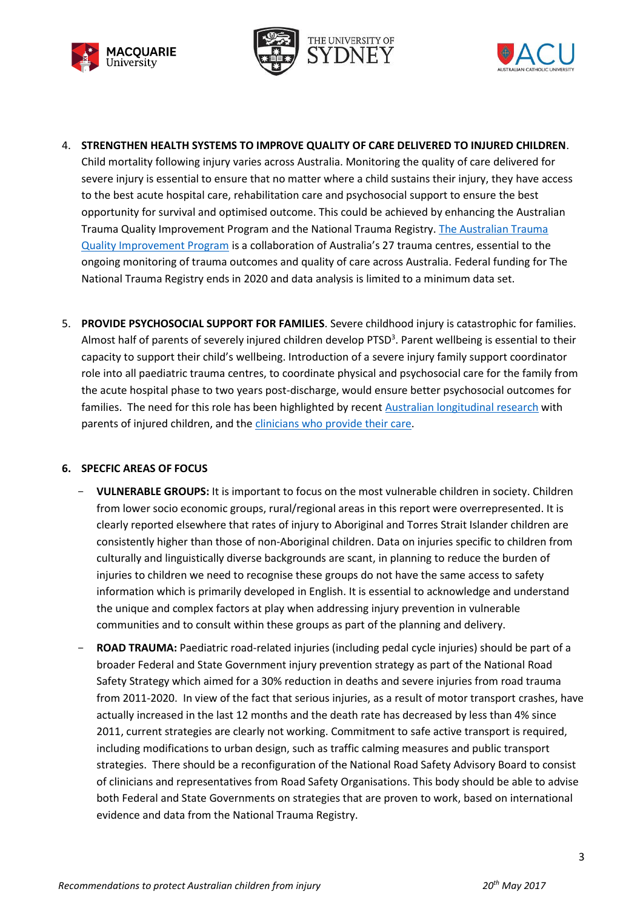





- 4. **STRENGTHEN HEALTH SYSTEMS TO IMPROVE QUALITY OF CARE DELIVERED TO INJURED CHILDREN**. Child mortality following injury varies across Australia. Monitoring the quality of care delivered for severe injury is essential to ensure that no matter where a child sustains their injury, they have access to the best acute hospital care, rehabilitation care and psychosocial support to ensure the best opportunity for survival and optimised outcome. This could be achieved by enhancing the Australian Trauma Quality Improvement Program and the National Trauma Registry[. The Australian Trauma](https://www.ntri.org.au/australian-trauma-quality-improvement-program-and-the-australian-trauma-registry/)  [Quality Improvement Program](https://www.ntri.org.au/australian-trauma-quality-improvement-program-and-the-australian-trauma-registry/) is a collaboration of Australia's 27 trauma centres, essential to the ongoing monitoring of trauma outcomes and quality of care across Australia. Federal funding for The National Trauma Registry ends in 2020 and data analysis is limited to a minimum data set.
- 5. **PROVIDE PSYCHOSOCIAL SUPPORT FOR FAMILIES**. Severe childhood injury is catastrophic for families. Almost half of parents of severely injured children develop PTSD<sup>3</sup>. Parent wellbeing is essential to their capacity to support their child's wellbeing. Introduction of a severe injury family support coordinator role into all paediatric trauma centres, to coordinate physical and psychosocial care for the family from the acute hospital phase to two years post-discharge, would ensure better psychosocial outcomes for families. The need for this role has been highlighted by recen[t Australian longitudinal research](http://www.paediatricinjuryoutcomes.org.au/) with parents of injured children, and the [clinicians who provide their care.](http://onlinelibrary.wiley.com/doi/10.1111/jpc.13189/full)

### **6. SPECFIC AREAS OF FOCUS**

- **VULNERABLE GROUPS:** It is important to focus on the most vulnerable children in society. Children from lower socio economic groups, rural/regional areas in this report were overrepresented. It is clearly reported elsewhere that rates of injury to Aboriginal and Torres Strait Islander children are consistently higher than those of non-Aboriginal children. Data on injuries specific to children from culturally and linguistically diverse backgrounds are scant, in planning to reduce the burden of injuries to children we need to recognise these groups do not have the same access to safety information which is primarily developed in English. It is essential to acknowledge and understand the unique and complex factors at play when addressing injury prevention in vulnerable communities and to consult within these groups as part of the planning and delivery.
- **ROAD TRAUMA:** Paediatric road-related injuries (including pedal cycle injuries) should be part of a broader Federal and State Government injury prevention strategy as part of the National Road Safety Strategy which aimed for a 30% reduction in deaths and severe injuries from road trauma from 2011-2020. In view of the fact that serious injuries, as a result of motor transport crashes, have actually increased in the last 12 months and the death rate has decreased by less than 4% since 2011, current strategies are clearly not working. Commitment to safe active transport is required, including modifications to urban design, such as traffic calming measures and public transport strategies. There should be a reconfiguration of the National Road Safety Advisory Board to consist of clinicians and representatives from Road Safety Organisations. This body should be able to advise both Federal and State Governments on strategies that are proven to work, based on international evidence and data from the National Trauma Registry.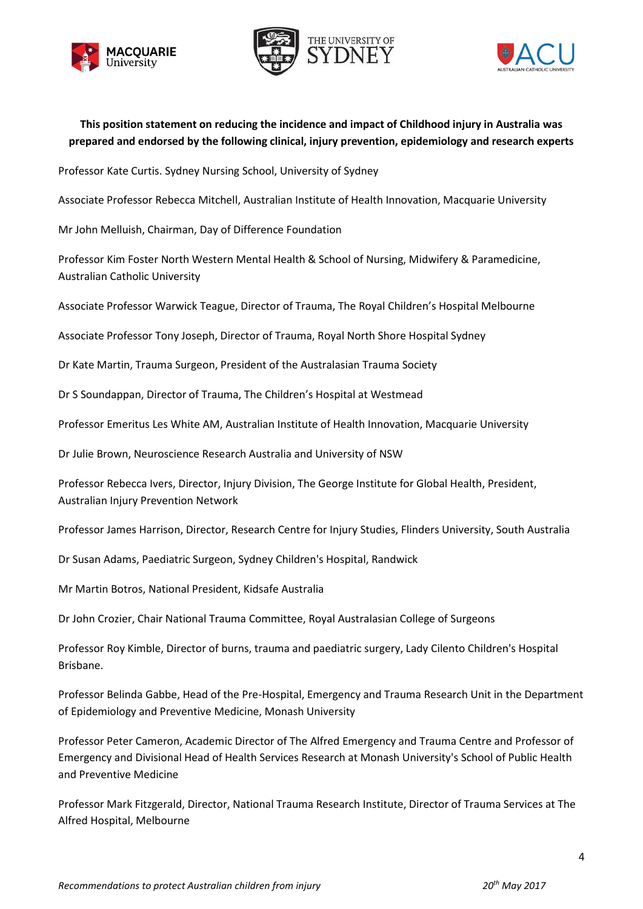





# **This position statement on reducing the incidence and impact of Childhood injury in Australia was prepared and endorsed by the following clinical, injury prevention, epidemiology and research experts**

Professor Kate Curtis. Sydney Nursing School, University of Sydney

Associate Professor Rebecca Mitchell, Australian Institute of Health Innovation, Macquarie University

Mr John Melluish, Chairman, Day of Difference Foundation

Professor Kim Foster North Western Mental Health & School of Nursing, Midwifery & Paramedicine, Australian Catholic University

Associate Professor Warwick Teague, Director of Trauma, The Royal Children's Hospital Melbourne

Associate Professor Tony Joseph, Director of Trauma, Royal North Shore Hospital Sydney

Dr Kate Martin, Trauma Surgeon, President of the Australasian Trauma Society

Dr S Soundappan, Director of Trauma, The Children's Hospital at Westmead

Professor Emeritus Les White AM, Australian Institute of Health Innovation, Macquarie University

Dr Julie Brown, Neuroscience Research Australia and University of NSW

Professor Rebecca Ivers, Director, Injury Division, The George Institute for Global Health, President, Australian Injury Prevention Network

Professor James Harrison, Director, Research Centre for Injury Studies, Flinders University, South Australia

Dr Susan Adams, Paediatric Surgeon, Sydney Children's Hospital, Randwick

Mr Martin Botros, National President, Kidsafe Australia

Dr John Crozier, Chair National Trauma Committee, Royal Australasian College of Surgeons

Professor Roy Kimble, Director of burns, trauma and paediatric surgery, Lady Cilento Children's Hospital Brisbane.

Professor Belinda Gabbe, Head of the Pre-Hospital, Emergency and Trauma Research Unit in the Department of Epidemiology and Preventive Medicine, Monash University

Professor Peter Cameron, Academic Director of The Alfred Emergency and Trauma Centre and Professor of Emergency and Divisional Head of Health Services Research at Monash University's School of Public Health and Preventive Medicine

Professor Mark Fitzgerald, Director, National Trauma Research Institute, Director of Trauma Services at The Alfred Hospital, Melbourne